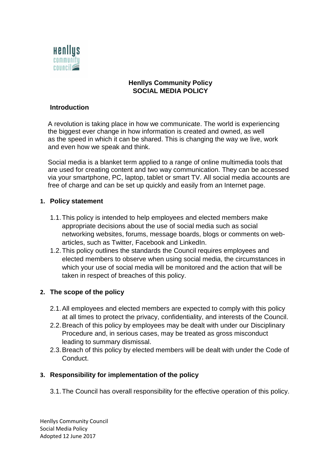

### **Henllys Community Policy SOCIAL MEDIA POLICY**

#### **Introduction**

A revolution is taking place in how we communicate. The world is experiencing the biggest ever change in how information is created and owned, as well as the speed in which it can be shared. This is changing the way we live, work and even how we speak and think.

Social media is a blanket term applied to a range of online multimedia tools that are used for creating content and two way communication. They can be accessed via your smartphone, PC, laptop, tablet or smart TV. All social media accounts are free of charge and can be set up quickly and easily from an Internet page.

#### **1. Policy statement**

- 1.1.This policy is intended to help employees and elected members make appropriate decisions about the use of social media such as social networking websites, forums, message boards, blogs or comments on webarticles, such as Twitter, Facebook and LinkedIn.
- 1.2.This policy outlines the standards the Council requires employees and elected members to observe when using social media, the circumstances in which your use of social media will be monitored and the action that will be taken in respect of breaches of this policy.

#### **2. The scope of the policy**

- 2.1.All employees and elected members are expected to comply with this policy at all times to protect the privacy, confidentiality, and interests of the Council.
- 2.2.Breach of this policy by employees may be dealt with under our Disciplinary Procedure and, in serious cases, may be treated as gross misconduct leading to summary dismissal.
- 2.3.Breach of this policy by elected members will be dealt with under the Code of Conduct.

#### **3. Responsibility for implementation of the policy**

3.1.The Council has overall responsibility for the effective operation of this policy.

Henllys Community Council Social Media Policy Adopted 12 June 2017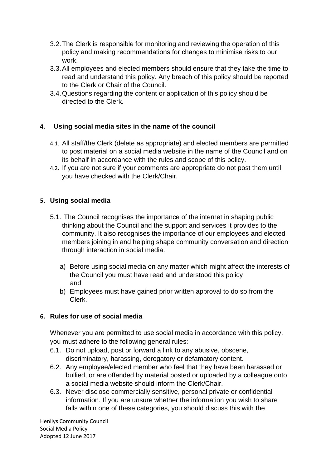- 3.2.The Clerk is responsible for monitoring and reviewing the operation of this policy and making recommendations for changes to minimise risks to our work.
- 3.3.All employees and elected members should ensure that they take the time to read and understand this policy. Any breach of this policy should be reported to the Clerk or Chair of the Council.
- 3.4.Questions regarding the content or application of this policy should be directed to the Clerk.

# **4. Using social media sites in the name of the council**

- 4.1. All staff/the Clerk (delete as appropriate) and elected members are permitted to post material on a social media website in the name of the Council and on its behalf in accordance with the rules and scope of this policy.
- 4.2. If you are not sure if your comments are appropriate do not post them until you have checked with the Clerk/Chair.

### **5. Using social media**

- 5.1. The Council recognises the importance of the internet in shaping public thinking about the Council and the support and services it provides to the community. It also recognises the importance of our employees and elected members joining in and helping shape community conversation and direction through interaction in social media.
	- a) Before using social media on any matter which might affect the interests of the Council you must have read and understood this policy and
	- b) Employees must have gained prior written approval to do so from the Clerk.

# **6. Rules for use of social media**

Whenever you are permitted to use social media in accordance with this policy, you must adhere to the following general rules:

- 6.1. Do not upload, post or forward a link to any abusive, obscene, discriminatory, harassing, derogatory or defamatory content.
- 6.2. Any employee/elected member who feel that they have been harassed or bullied, or are offended by material posted or uploaded by a colleague onto a social media website should inform the Clerk/Chair.
- 6.3. Never disclose commercially sensitive, personal private or confidential information. If you are unsure whether the information you wish to share falls within one of these categories, you should discuss this with the

Henllys Community Council Social Media Policy Adopted 12 June 2017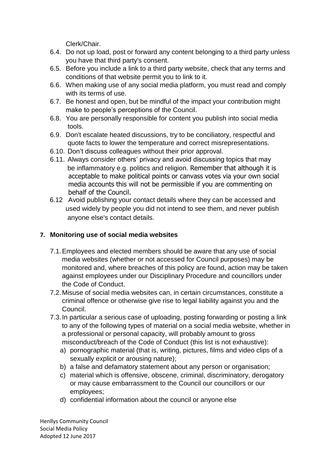Clerk/Chair.

- 6.4. Do not up load, post or forward any content belonging to a third party unless you have that third party's consent.
- 6.5. Before you include a link to a third party website, check that any terms and conditions of that website permit you to link to it.
- 6.6. When making use of any social media platform, you must read and comply with its terms of use.
- 6.7. Be honest and open, but be mindful of the impact your contribution might make to people's perceptions of the Council.
- 6.8. You are personally responsible for content you publish into social media tools.
- 6.9. Don't escalate heated discussions, try to be conciliatory, respectful and quote facts to lower the temperature and correct misrepresentations.
- 6.10. Don't discuss colleagues without their prior approval.
- 6.11. Always consider others' privacy and avoid discussing topics that may be inflammatory e.g. politics and religion. Remember that although it is acceptable to make political points or canvass votes via your own social media accounts this will not be permissible if you are commenting on behalf of the Council.
- 6.12 Avoid publishing your contact details where they can be accessed and used widely by people you did not intend to see them, and never publish anyone else's contact details.

# **7. Monitoring use of social media websites**

- 7.1.Employees and elected members should be aware that any use of social media websites (whether or not accessed for Council purposes) may be monitored and, where breaches of this policy are found, action may be taken against employees under our Disciplinary Procedure and councillors under the Code of Conduct.
- 7.2.Misuse of social media websites can, in certain circumstances, constitute a criminal offence or otherwise give rise to legal liability against you and the Council.
- 7.3.In particular a serious case of uploading, posting forwarding or posting a link to any of the following types of material on a social media website, whether in a professional or personal capacity, will probably amount to gross misconduct/breach of the Code of Conduct (this list is not exhaustive):
	- a) pornographic material (that is, writing, pictures, films and video clips of a sexually explicit or arousing nature);
	- b) a false and defamatory statement about any person or organisation;
	- c) material which is offensive, obscene, criminal, discriminatory, derogatory or may cause embarrassment to the Council our councillors or our employees;
	- d) confidential information about the council or anyone else

Henllys Community Council Social Media Policy Adopted 12 June 2017